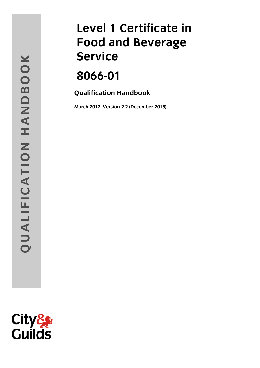# **Level 1 Certificate in Service<br>8066-01**

ا معناده برد.<br>المعناده برد. **Qualification Handbook**

**.2 (December 201 )**

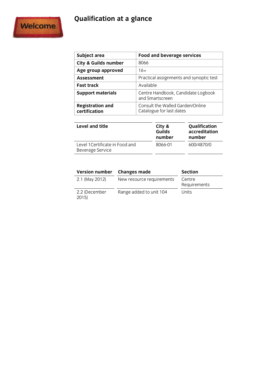## **Qualification at a glance**



| Subject area                             | <b>Food and beverage services</b>                            |
|------------------------------------------|--------------------------------------------------------------|
| <b>City &amp; Guilds number</b>          | 8066                                                         |
| Age group approved                       | $16+$                                                        |
| <b>Assessment</b>                        | Practical assignments and synoptic test                      |
| <b>Fast track</b>                        | Available                                                    |
| <b>Support materials</b>                 | Centre Handbook, Candidate Logbook<br>and Smartscreen        |
| <b>Registration and</b><br>certification | Consult the Walled Garden/Online<br>Catalogue for last dates |

| Level and title                                     | City &<br><b>Guilds</b><br>number | Qualification<br>accreditation<br>number |
|-----------------------------------------------------|-----------------------------------|------------------------------------------|
| Level 1 Certificate in Food and<br>Beverage Service | 8066-01                           | 600/4870/0                               |

| <b>Version number</b> | <b>Changes made</b>       | <b>Section</b>         |
|-----------------------|---------------------------|------------------------|
| 2.1 (May 2012)        | New resource requirements | Centre<br>Requirements |
| 2.2 (December<br>2015 | Range added to unit 104   | Units                  |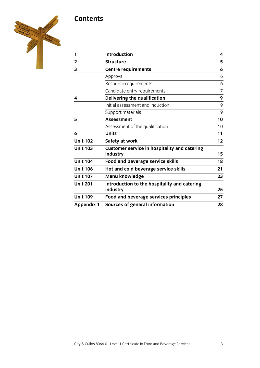

| 1                 | <b>Introduction</b>                                             | 4              |
|-------------------|-----------------------------------------------------------------|----------------|
| $\overline{2}$    | <b>Structure</b>                                                | 5              |
| 3                 | <b>Centre requirements</b>                                      | 6              |
|                   | Approval                                                        | 6              |
|                   | Resource requirements                                           | 6              |
|                   | Candidate entry requirements                                    | $\overline{7}$ |
| 4                 | Delivering the qualification                                    | 9              |
|                   | Initial assessment and induction                                | 9              |
|                   | Support materials                                               | 9              |
| 5                 | <b>Assessment</b>                                               | 10             |
|                   | Assessment of the qualification                                 | 10             |
| 6                 | Units                                                           | 11             |
| <b>Unit 102</b>   | Safety at work                                                  | 12             |
| <b>Unit 103</b>   | <b>Customer service in hospitality and catering</b><br>industry | 15             |
| <b>Unit 104</b>   | <b>Food and beverage service skills</b>                         | 18             |
| <b>Unit 106</b>   | Hot and cold beverage service skills                            | 21             |
| <b>Unit 107</b>   | Menu knowledge                                                  | 23             |
| <b>Unit 201</b>   | Introduction to the hospitality and catering<br>industry        | 25             |
| <b>Unit 109</b>   | <b>Food and beverage services principles</b>                    | 27             |
| <b>Appendix 1</b> | <b>Sources of general information</b>                           | 28             |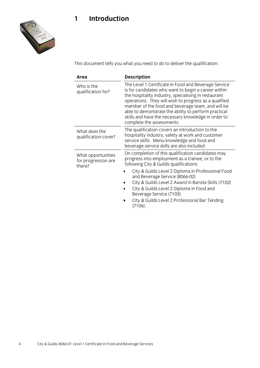

This document tells you what you need to do to deliver the qualification:

| Area                                                | <b>Description</b>                                                                                                                                                                                                                                                                                                                                                                                                                     |
|-----------------------------------------------------|----------------------------------------------------------------------------------------------------------------------------------------------------------------------------------------------------------------------------------------------------------------------------------------------------------------------------------------------------------------------------------------------------------------------------------------|
| Who is the<br>qualification for?                    | The Level 1 Certificate in Food and Beverage Service<br>is for candidates who want to begin a career within<br>the hospitality industry, specialising in restaurant<br>operations. They will wish to progress as a qualified<br>member of the food and beverage team, and will be<br>able to demonstrate the ability to perform practical<br>skills and have the necessary knowledge in order to<br>complete the assessments.          |
| What does the<br>qualification cover?               | The qualification covers an introduction to the<br>hospitality industry, safety at work and customer<br>service skills. Menu knowledge and food and<br>beverage service skills are also included.                                                                                                                                                                                                                                      |
| What opportunities<br>for progression are<br>there? | On completion of this qualification candidates may<br>progress into employment as a trainee, or to the<br>following City & Guilds qualifications:<br>City & Guilds Level 2 Diploma in Professional Food<br>and Beverage Service (8066-02)<br>City & Guilds Level 2 Award in Barista Skills (7102)<br>City & Guilds Level 2 Diploma in Food and<br>Beverage Service (7103)<br>City & Guilds Level 2 Professional Bar Tending<br>(7106). |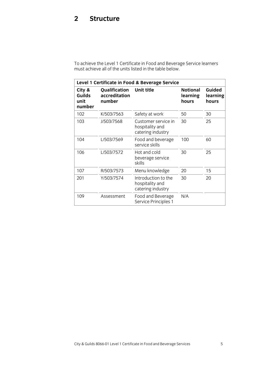must achieve all of the units listed in the table below.

| Level 1 Certificate in Food & Beverage Service |                                          |                                                             |                                      |                             |
|------------------------------------------------|------------------------------------------|-------------------------------------------------------------|--------------------------------------|-----------------------------|
| City &<br><b>Guilds</b><br>unit<br>number      | Qualification<br>accreditation<br>number | Unit title                                                  | <b>Notional</b><br>learning<br>hours | Guided<br>learning<br>hours |
| 102                                            | K/503/7563                               | Safety at work                                              | 50                                   | 30                          |
| 103                                            | J/503/7568                               | Customer service in<br>hospitality and<br>catering industry | 30                                   | 25                          |
| 104                                            | L/503/7569                               | Food and beverage<br>service skills                         | 100                                  | 60                          |
| 106                                            | L/503/7572                               | Hot and cold<br>beverage service<br>skills                  | 30                                   | 25                          |
| 107                                            | R/503/7573                               | Menu knowledge                                              | 20                                   | 15                          |
| 201                                            | Y/503/7574                               | Introduction to the<br>hospitality and<br>catering industry | 30                                   | 20                          |
| 109                                            | Assessment                               | Food and Beverage<br>Service Principles 1                   | N/A                                  |                             |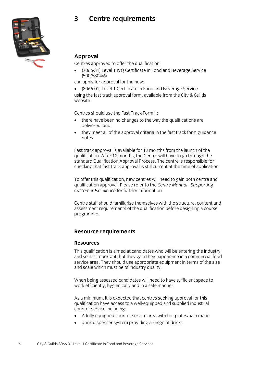### $\overline{3}$ **3 Centre requirements**



6

**Approval**<br>Centres approved to offer the qualification:

• (7066-31) Level 1 IVQ Certificate in Food and Beverage Service<br>(500/5804/6)

can apply for approval for the new:

 $\bullet$  (8066-01) Level 1 Certificate in Food and Beverage Service<br>Using the fast track approval form available from the City & Gu using the fast track approval form, available from the City & Guilds

Centres should use the Fast Track Form if:

- there have been no changes to the way the qualifications are delivered, and
- $\bullet$  they meet all of the approval criteria in the fast track form guidance notes. notes.

Fast track approval is available for 12 months from the launch of the qualification. After 12 months, the Centre will have to go through the standard Qualification Approval Process. The centre is responsible for checking that fast track approval is still current at the time of application. checking that fast track approval is still current at the time of approximation. The time of application. The time of application of application of application. The time of application of application. The time of applicati

To offer this qualification, new centres will need to gain both centre and qualification approval. Please refer to the Centre Manual - Supporting qualification approval. Please refer to the *Centre Manual - Supporting* 

Centre staff should familiarise themselves with the structure, content and assessment requirements of the qualification before designing a course programme. programme.

## **Resource requirements**

### **Resources**

This qualification is aimed at candidates who will be entering the industry and so it is important that they gain their experience in a commercial food service area. They should use appropriate equipment in terms of the size and scale which must be of industry quality. and scale which must be obtained which  $\frac{1}{2}$ 

When being assessed candidates will need to have sufficient space to work efficiently, hygienically and in a safe manner. work efficiently, hygienically and in a safe manner.

As a minimum, it is expected that centres seeking approval for this qualification have access to a well-equipped and supplied industrial counter service including:

- $\bullet$  A fully equipped counter service area with hot plates/bain marie
- drink dispenser system providing a range of drinks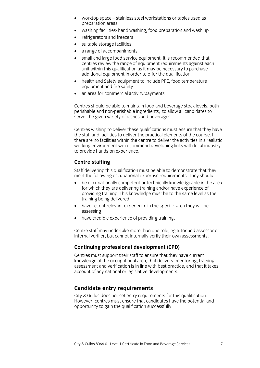- worktop space stainless steel workstations or tables used as
- washing facilities- hand washing, food preparation and wash up
- refrigerators and freezers<br>• suitable storage facilities
- suitable storage facilities<br>• a range of accompanime
- 
- a range of accompaniments<br>• small and large food service equipment- it is recommended that centres review the range of equipment requirements against each unit within this qualification as it may be necessary to purchase additional equipment in order to offer the qualification.
- health and Safety equipment to include PPE, food temperature<br>equipment and fire safety
- $\bullet$  an area for commercial activity/payments

Centres should be able to maintain food and beverage stock levels, both perishable and non-perishable ingredients, to allow all candidates to serve the given variety of dishes and beverages. serve the given variety of dishes and beverages.

Centres wishing to deliver these qualifications must ensure that they have the staff and facilities to deliver the practical elements of the course. If there are no facilities within the centre to deliver the activities in a realistic working environment we recommend developing links with local industry to provide hands-on experience. to provide hands-on experience.

**Centre staffing**<br>Staff delivering this qualification must be able to demonstrate that they meet the following occupational expertise requirements. They should:

- be occupationally competent or technically knowledgeable in the area<br>for which they are delivering training and/or have experience of for which they are delivering training and/or have experience of providing training. This knowledge must be to the same level as the training being delivered
- have recent relevant experience in the specific area they will be assessing
- have credible experience of providing training.

Centre staff may undertake more than one role, eg tutor and assessor or internal verifier, but cannot internally verify their own assessments. internal verifier, but cannot internally verify their own assessments.

**Continuing professional development (CPD)**<br>Centres must support their staff to ensure that they have current knowledge of the occupational area, that delivery, mentoring, training, assessment and verification is in line with best practice, and that it takes account of any national or legislative developments. account of  $\alpha$  and  $\alpha$  and  $\alpha$  is legislative dependent or legislative developments.

**Candidate entry requirements**<br>City & Guilds does not set entry requirements for this qualification. However, centres must ensure that candidates have the potential and opportunity to gain the qualification successfully.  $\sum_{i=1}^{n}$  or  $\sum_{i=1}^{n}$  to gain the  $\sum_{i=1}^{n}$  successfully.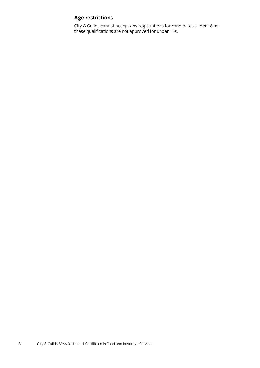**Age restrictions**   $\overline{C}$  channot cannot accept any registrations are not approved for under 16s. these qualifications are not approved for under 16s.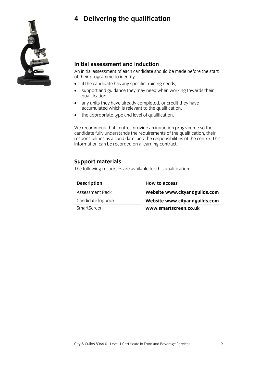### **4 Delivering the qualification**



### Initial assessment and induction

An initial assessment of each candidate should be made before the start of their programme to identify:

- if the candidate has any specific training needs,
- support and guidance they may need when working towards their
- any units they have already completed, or credit they have accumulated which is relevant to the qualification.
- the appropriate type and level of qualification.

We recommend that centres provide an induction programme so the candidate fully understands the requirements of the qualification, their responsibilities as a candidate, and the responsibilities of the centre. This information can be recorded on a learning contract. information can be recorded on a learning contract.

**Support materials**<br>The following resources are available for this qualification:  $\mathbf{C}$  resources are available for this qualification:

| <b>Description</b> | <b>How to access</b>          |
|--------------------|-------------------------------|
| Assessment Pack    | Website www.cityandguilds.com |
| Candidate logbook  | Website www.cityandguilds.com |
| SmartScreen        | www.smartscreen.co.uk         |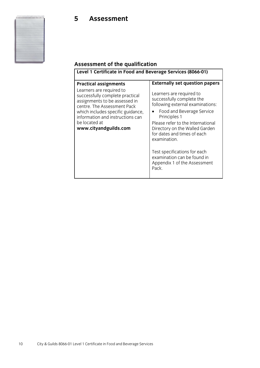### **Assessment**

## **Assessment of the qualification**

| Level 1 Certificate in Food and Beverage Services (8066-01)                                                                                                                                                                                    |                                                                                                                                                                                                                                                                                                                                                                      |  |  |
|------------------------------------------------------------------------------------------------------------------------------------------------------------------------------------------------------------------------------------------------|----------------------------------------------------------------------------------------------------------------------------------------------------------------------------------------------------------------------------------------------------------------------------------------------------------------------------------------------------------------------|--|--|
| <b>Practical assignments</b>                                                                                                                                                                                                                   | <b>Externally set question papers</b>                                                                                                                                                                                                                                                                                                                                |  |  |
| Learners are required to<br>successfully complete practical<br>assignments to be assessed in<br>centre. The Assessment Pack<br>which includes specific guidance,<br>information and instructions can<br>be located at<br>www.cityandguilds.com | Learners are required to<br>successfully complete the<br>following external examinations:<br>Food and Beverage Service<br>Principles 1<br>Please refer to the International<br>Directory on the Walled Garden<br>for dates and times of each<br>examination.<br>Test specifications for each<br>examination can be found in<br>Appendix 1 of the Assessment<br>Pack. |  |  |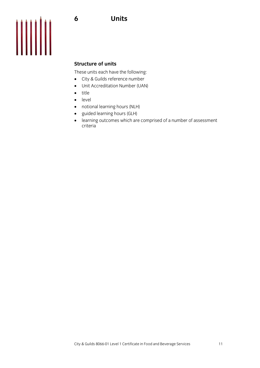

### **Structure of units**

These units each have the following:

- City & Guilds reference number
- Unit Accreditation Number (UAN)
- title<br>• leve

6

- level<br>• notio
- notional learning hours (NLH)
- guided learning hours (GLH)<br>• learning outcomes which are
- learning outcomes which are comprised of a number of assessment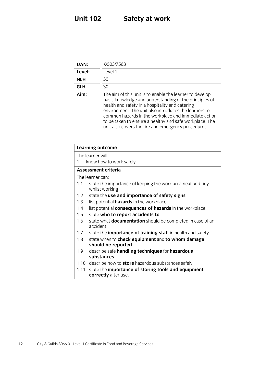| <b>UAN:</b> | K/503/7563                                                                                                                                                                                                                                                                                                                                                                                               |
|-------------|----------------------------------------------------------------------------------------------------------------------------------------------------------------------------------------------------------------------------------------------------------------------------------------------------------------------------------------------------------------------------------------------------------|
| Level:      | Level 1                                                                                                                                                                                                                                                                                                                                                                                                  |
| <b>NLH</b>  | 50                                                                                                                                                                                                                                                                                                                                                                                                       |
| <b>GLH</b>  | 30                                                                                                                                                                                                                                                                                                                                                                                                       |
| Aim:        | The aim of this unit is to enable the learner to develop<br>basic knowledge and understanding of the principles of<br>health and safety in a hospitality and catering<br>environment. The unit also introduces the learners to<br>common hazards in the workplace and immediate action<br>to be taken to ensure a healthy and safe workplace. The<br>unit also covers the fire and emergency procedures. |

 $\mathcal{Q}$  and emergency procedures.

|                  | <b>Learning outcome</b>                                                       |
|------------------|-------------------------------------------------------------------------------|
|                  | The learner will:                                                             |
| 1                | know how to work safely                                                       |
|                  | <b>Assessment criteria</b>                                                    |
|                  | The learner can:                                                              |
| 1.1              | state the importance of keeping the work area neat and tidy<br>whilst working |
| 1.2 <sub>1</sub> | state the use and importance of safety signs                                  |
| 1.3              | list potential <b>hazards</b> in the workplace                                |
| 1.4              | list potential consequences of hazards in the workplace                       |
| 1.5              | state who to report accidents to                                              |
| 1.6              | state what <b>documentation</b> should be completed in case of an<br>accident |
| 1.7              | state the <b>importance of training staff</b> in health and safety            |
| 1.8              | state when to check equipment and to whom damage<br>should be reported        |
| 1.9              | describe safe handling techniques for hazardous<br>substances                 |
|                  | 1.10 describe how to <b>store</b> hazardous substances safely                 |
| 1.11             | state the importance of storing tools and equipment<br>correctly after use.   |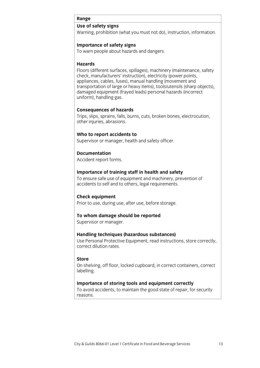## **Range**<br>Use of safety signs

Warning, prohibition (what you must not do), instruction, information.  $\mathbf{v}_1$  is the state of dominant intervals in the state of dominant instruction, instruction, instruction, in

**Importance of safety signs**<br>To warn people about hazards and dangers. To warn people about hazards and dangers.

### **Hazards**

Floors (different surfaces, spillages), machinery (maintenance, safety check, manufacturers' instruction), electricity (power points, appliances, cables, fuses), manual handling (movement and transportation of large or heavy items), tools/utensils (sharp objects), damaged equipment (frayed leads) personal hazards (incorrect uniform), handling gas.  $\mathbf{u}$ 

**Consequences of hazards**<br>Trips, slips, sprains, falls, burns, cuts, broken bones, electrocution, other injuries, abrasions. other injuries, abrasions.

**Who to report accidents to**<br>Supervisor or manager, health and safety officer. Supervisor or manager, health and safety officer.

### **Documentation**

Accident report forms. Accident report forms.

**Importance of training staff in health and safety**<br>To ensure safe use of equipment and machinery, prevention of accidents to self and to others, legal requirements.  $\overline{a}$  to self and to other self and to other self and to other self and to other self-and to other self-and to other self-and to other self-and to other self-and to other self-and to other self-and to other self-and to

**Check equipment**<br>Prior to use, during use, after use, before storage. Prior to use, during use, after use, before storage.

## **To whom damage should be reported**

Supervisor or manager.

**Handling techniques (hazardous substances)** correct dilution rates. correct dilution rates.

### **Store**

On shelving, off floor, locked cupboard, in correct containers, correct  $\lambda$  shelling, off floor, in correct containers, correct containers, correct containers, correct containers, correct containers, correct containers, correct containers, correct containers, correct containers, correct cont labelling.

## **Importance of storing tools and equipment correctly**<br>To avoid accidents, to maintain the good state of repair, for security

reasons reasons.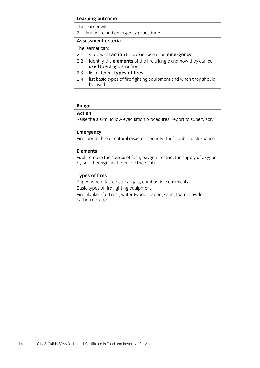## **Learning outcome**<br>The learner will:

2 know fire and emergency procedures

### Assessment criteria

The learner can:

- 2.1 state what action to take in case of an emergency
- 2.2 identify the **elements** of the fire triangle and how they can be used to extinguish a fire
- $2.3$ list different types of fires
- 2.4 list basic types of fire fighting equipment and when they should be used. be used.

## **Range**

Raise the alarm, follow evacuation procedures, report to supervisor. Raise the alarm, follow evacuation procedures, report to supervisor.

**Eire** homb t Fire, bomb threat, natural disaster, security, theft, public disturbance.

### **Elements**

Fuel (remove the source of fuel), oxygen (restrict the supply of oxygen by smothering), heat (remove the heat).  $\mathbf{r}$  smoothering), heat (remove).

**Types of fires**<br>Paper, wood, fat, electrical, gas, combustible chemicals. Basic types of fire fighting equipment Fire blanket (fat fires), water (wood, paper), sand, foam, powder, carbon dioxide. carbon dioxide.<br>Carbon dioxide.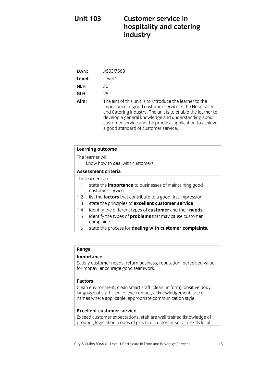### **Customer service in Unit 103 hospitality and catering hospitalistics industry**

| UAN:       | J/503/7568                                                                                                                                                                                                                                                                                                                                   |
|------------|----------------------------------------------------------------------------------------------------------------------------------------------------------------------------------------------------------------------------------------------------------------------------------------------------------------------------------------------|
| Level:     | Level 1                                                                                                                                                                                                                                                                                                                                      |
| <b>NLH</b> | 30                                                                                                                                                                                                                                                                                                                                           |
| <b>GLH</b> | 25                                                                                                                                                                                                                                                                                                                                           |
| Aim:       | The aim of this unit is to introduce the learner to the<br>importance of good customer service in the Hospitality<br>and Catering industry. The unit is to enable the learner to<br>develop a general knowledge and understanding about<br>customer service and the practical application to achieve<br>a good standard of customer service. |

| <b>Learning outcome</b>                                                                  |  |
|------------------------------------------------------------------------------------------|--|
| The learner will:                                                                        |  |
| know how to deal with customers<br>1                                                     |  |
| Assessment criteria                                                                      |  |
| The learner can:                                                                         |  |
| state the <b>importance</b> to businesses of maintaining good<br>1.1<br>customer service |  |
| list the <b>factors</b> that contribute to a good first impression<br>1.2                |  |
| state the principles of excellent customer service<br>1.3                                |  |
| identify the different types of customer and their needs<br>1.4                          |  |
| identify the types of <b>problems</b> that may cause customer<br>1.5<br>complaints       |  |
| state the process for dealing with customer complaints.<br>1.6                           |  |

## Range<br>**Importance**

Satisfy customer needs, return business, reputation, perceived value  $\frac{1}{2}$  for money encourage good teamwork for money, encourage good teamwork.

### **Factors**

Clean environment, clean smart staff (clean uniform), positive body language of staff - smile, eye contact, acknowledgement, use of  $\frac{1}{2}$  have  $\frac{1}{2}$  and  $\frac{1}{2}$  according to  $\frac{1}{2}$  and  $\frac{1}{2}$  communication style names where applicable, appropriate communication style.

**Excellent customer service**<br>Exceed customer expectations, staff are well trained (knowledge of moduct legislation codes of practice customer service skills local  $p$  is a codes of product of product services service service service service skills localized service skills localized service skills localized service skills localized service skills localized service skills localized s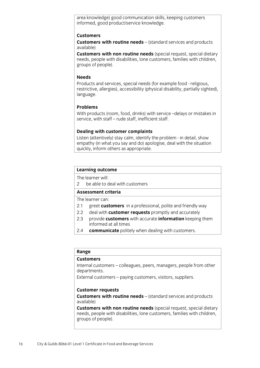area knowledge) good communication skills, keeping customers informed, good product/service knowledge. informed, good product/service knowledge.

### **Customers**

**Customers with routine needs** – (standard services and products available)

**Customers with non routine needs** (special request, special dietary needs, people with disabilities, lone customers, families with children, groups of people).  $\overline{a}$  becomes of people  $\overline{b}$ .

### **Needs**

Products and services, special needs (for example food - religious, restrictive, allergies), accessibility (physical disability, partially sighted), language.  $\overline{a}$ 

### **Problems**

With products (room, food, drinks) with service -delays or mistakes in service, with staff – rude staff, inefficient staff. service, with staff – rude staff, inefficient staff.

**Dealing with customer complaints**<br>Listen (attentively) stay calm, identify the problem - in detail, show empathy (in what you say and do) apologise, deal with the situation quickly, inform others as appropriate.  $\frac{1}{\sqrt{2}}$ , information of  $\frac{1}{\sqrt{2}}$ 

## **Learning outcome**<br>The learner will:

be able to deal with customers

### Assessment criteria

The learner can:

- 2.1 greet **customers** in a professional, polite and friendly way
- 2.2 deal with **customer requests** promptly and accurately
- 2.3 provide **customers** with accurate **information** keeping them  $informed$  at all times
- $2.4$ communicate politely when dealing with customers. 2.4 **communicate** politely when dealing with customers.

## Range<br>Customers

Internal customers – colleagues, peers, managers, people from other departments.

External customers  $-$  paying customers, visitors, suppliers. External customers – paying customers, visitors, suppliers.

**Customer requests**<br>**Customers with routine needs** – (standard services and products available)

Customers with non routine needs (special request, special dietary needs, people with disabilities, lone customers, families with children, groups of people).  $\sigma$  of people of people  $\sigma$ .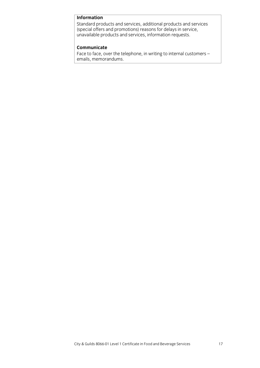### **Information**

Standard products and services, additional products and services Standard products and services, additional products and service,  $\mu$  inavailable products and services, information requests. unavailable products and services, information requests.

**Communicate**<br>Face to face, over the telephone, in writing to internal customers - $F_{\rm{e}}$ emails, memorandums, in writing to internal customers  $\sim$ emails, memorandum semails, memorandum semails, memorandum semails, memorandum semails, memorandum semails, m<br>Semails, memorandum semails, memorandum semails, memorandum semails, memorandum semails, memorandum semails, m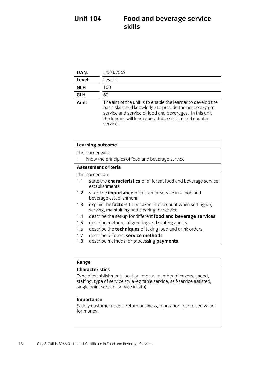### **Food and beverage service**<br>skills **Unit 104**

| UAN:       | L/503/7569                                                                                                                                                                                                                                              |
|------------|---------------------------------------------------------------------------------------------------------------------------------------------------------------------------------------------------------------------------------------------------------|
| Level:     | Level 1                                                                                                                                                                                                                                                 |
| <b>NLH</b> | 100                                                                                                                                                                                                                                                     |
| <b>GLH</b> | 60                                                                                                                                                                                                                                                      |
| Aim:       | The aim of the unit is to enable the learner to develop the<br>basic skills and knowledge to provide the necessary pre<br>service and service of food and beverages. In this unit<br>the learner will learn about table service and counter<br>service. |

| <b>Learning outcome</b>    |                                                                                                                |  |
|----------------------------|----------------------------------------------------------------------------------------------------------------|--|
| The learner will:          |                                                                                                                |  |
|                            | know the principles of food and beverage service                                                               |  |
| <b>Assessment criteria</b> |                                                                                                                |  |
|                            | The learner can:                                                                                               |  |
| 1.1                        | state the <b>characteristics</b> of different food and beverage service<br>establishments                      |  |
| 1.2                        | state the <i>importance</i> of customer service in a food and<br>beverage establishment                        |  |
| 1.3                        | explain the factors to be taken into account when setting up,<br>serving, maintaining and clearing for service |  |
| 1.4                        | describe the set-up for different food and beverage services                                                   |  |
| 1.5                        | describe methods of greeting and seating guests                                                                |  |
| 1.6                        | describe the <b>techniques</b> of taking food and drink orders                                                 |  |
| 1.7<br>1.8                 | describe different <b>service methods</b><br>describe methods for processing payments.                         |  |

## **Range**

Type of establishment, location, menus, number of covers, speed, staffing, type of service style (eg table service, self-service assisted,  $\frac{1}{2}$  single point service, service in situl single point service, service in situ).

**Importance**   $S_{\text{max}}$  and  $S_{\text{max}}$  returns business, reputation, perceived values  $S_{\text{max}}$ for money.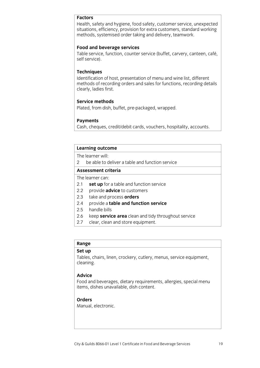### **Factors**

Health, safety and hygiene, food safety, customer service, unexpected situations, efficiency, provision for extra customers, standard working methods, systemised order taking and delivery, teamwork. methods, systemised order taking and delivery, teamwork.

**Food and beverage services**<br>Table service, function, counter service (buffet, carvery, canteen, café, self service). self service).

### **Techniques**

**Identification of host, presentation of menu and wine list, different** methods of recording orders and sales for functions, recording details clearly, ladies first. clearly, ladies first.

### Service methods

Plated, from dish, buffet, pre-packaged, wrapped.  $\mathbf{P}$ 

**Payments**<br>Cash, cheques, credit/debit cards, vouchers, hospitality, accounts.  $\mathcal{L}$  cash, cards, credit, accounts, i.e., hospitality, accounts. Hospitality, accounts. Hospitality, accounts.

## **Learning outcome**<br>The learner will:

2 be able to deliver a table and function service

### Assessment criteria

The learner can:

- 2.1  $\cdot$  set up for a table and function service
- 2.2 provide **advice** to customers
- 2.3 take and process **orders**
- 2.4 provide a **table and function service**
- 2.5 handle bills
- 2.6 keep service area clean and tidy throughout service
- 2.7 clear, clean and store equipment. 2.7 clear, clean and store equipment.

## **Range**

Tables, chairs, linen, crockery, cutlery, menus, service equipment,  $T$ cleaning, line $\alpha$ , line $\alpha$ , menus, service equipment, service equipment, service equipment, service equipment, service equipment, service experiment, service experiment, service experiment, service experiment, servic cleaning.

### Advice

Food and beverages, dietary requirements, allergies, special menu items, dishes unavailable, dish content. items, dishes unavailable, dish content.

### **Orders**

Manual, electronic. Manual, electronic.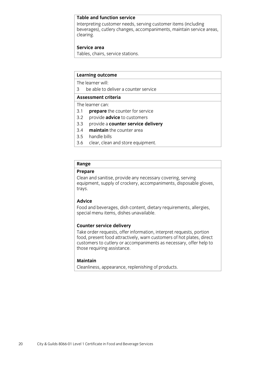### **Table and function service**

Interpreting customer needs, serving customer items (including beverages), cutlery changes, accompaniments, maintain service areas,  $\mathsf{clearing}$ , accompaniments, accompanies, maintain service areas,  $\mathsf{caring}$ clearing.

### Service area

Tables, chairs, service stations. Tables, chairs, service stations.

## **Learning outcome**<br>The learner will:

3 be able to deliver a counter service

### Assessment criteria

The learner can:

- 3.1 **prepare** the counter for service
- 3.2 **provide advice** to customers
- 3.3 provide a **counter service delivery**
- 3.4 **maintain** the counter area
- 3.5 handle bills
- 3.6 clear, clean and store equipment.  $\overline{\phantom{a}}$  clear, clear, clear, clear, clear, clear, clear, clear, clear, clear, clear, clear, clear, clear, clear, clear, clear, clear, clear, clear, clear, clear, clear, clear, clear, clear, clear, clear, clear, clear,

## **Range**

Clean and sanitise, provide any necessary covering, serving equipment, supply of crockery, accompaniments, disposable gloves, equipment, supply of crockers, accompaniments, disposable globe globe globe globe globe globe globe globe glob<br>Industrial contracts, disposable globe globe globe globe globe globe globe globe globe globe globe globe globe trays.

### **Advice**

Food and beverages, dish content, dietary requirements, allergies, special menu items, dishes unavailable. special menu items, dishes unavailable.

**Counter service delivery**<br>Take order requests, offer information, interpret requests, portion food, present food attractively, warn customers of hot plates, direct customers to cutlery or accompaniments as necessary, offer help to those requiring assistance. those requiring assistance.

### **Maintain**

Cleanliness, appearance, replenishing of products. Cleanliness, pp. cleanliness, replenting of products.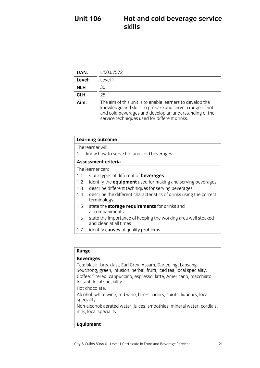### **Hot and cold beverage service**<br>skills **Unit 106**

| UAN:       | L/503/7572                                                                                                                                                                                                                       |
|------------|----------------------------------------------------------------------------------------------------------------------------------------------------------------------------------------------------------------------------------|
| Level:     | Level 1                                                                                                                                                                                                                          |
| <b>NLH</b> | 30                                                                                                                                                                                                                               |
| <b>GLH</b> | 25                                                                                                                                                                                                                               |
| Aim:       | The aim of this unit is to enable learners to develop the<br>knowledge and skills to prepare and serve a range of hot<br>and cold beverages and develop an understanding of the<br>service techniques used for different drinks. |

| <b>Learning outcome</b> |                                                                                         |  |
|-------------------------|-----------------------------------------------------------------------------------------|--|
| The learner will:       |                                                                                         |  |
|                         | know how to serve hot and cold beverages                                                |  |
| Assessment criteria     |                                                                                         |  |
| The learner can:        |                                                                                         |  |
| 1.1                     | state types of different of <b>beverages</b>                                            |  |
| 1.2                     | identify the <b>equipment</b> used for making and serving beverages                     |  |
| 1.3                     | describe different techniques for serving beverages                                     |  |
| 1.4                     | describe the different characteristics of drinks using the correct<br>terminology       |  |
| 1.5                     | state the <b>storage requirements</b> for drinks and                                    |  |
|                         | accompaniments                                                                          |  |
| 1.6                     | state the importance of keeping the working area well stocked<br>and clean at all times |  |
| 1.7                     | identify <b>causes</b> of quality problems.                                             |  |
|                         |                                                                                         |  |

## Range<br>**Beverages**

Tea: black - breakfast, Earl Grey, Assam, Darjeeling, Lapsang Souchong, green, infusion (herbal, fruit), iced tea, local speciality. Coffee: filtered, cappuccino, espresso, latte, Americano, macchiato, instant, local speciality. Hot chocolate.  $Alcohol:which$ 

 $\frac{1}{2}$ 

speciality.<br>Non-alcohol: aerated water, juices, smoothies, mineral water, cordials,  $m$ ik local speciality  $\frac{1}{2}$  speciality.

## **Equipment**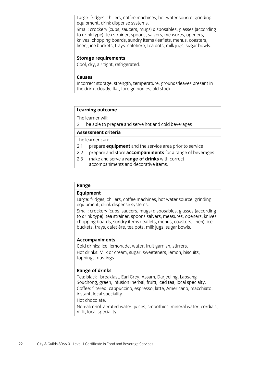Large: fridges, chillers, coffee machines, hot water source, grinding equipment, drink dispense systems.

Small: crockery (cups, saucers, mugs) disposables, glasses (according to drink type), tea strainer, spoons, salvers, measures, openers, knives, chopping boards, sundry items (leaflets, menus, coasters, linen), ice buckets, trays. cafetière, tea pots, milk jugs, sugar bowls. linen), ice buckets, trays. cafetière, tea pots, milk jugs, sugar bowls.

**Storage requirements**<br>Cool, dry, air tight, refrigerated. Cool, dry, air tight, refrigerated.

### **Causes**

Incorrect storage, strength, temperature, grounds/leaves present in the drink, cloudy, flat, foreign bodies, old stock.  $\frac{1}{\sqrt{2}}$  ,  $\frac{1}{\sqrt{2}}$  ,  $\frac{1}{\sqrt{2}}$  , ord stock.

## **Learning outcome**<br>The learner will:

 $2$  he able to n  $\overline{\phantom{a}}$  be able to prepare and serve hot and cold beverages hot and cold beverages  $\overline{\phantom{a}}$ 

The learner can:

- 2.1 prepare **equipment** and the service area prior to service
- 2.2 prepare and store **accompaniments** for a range of beverages
- 2.3 make and serve a **range of drinks** with correct accompaniments and decorative items. accompanies and decorative items. The companion is a set of the control of the control of the control of the c

## **Range**

Large: fridges, chillers, coffee machines, hot water source, grinding equipment, drink dispense systems.

Small: crockery (cups, saucers, mugs) disposables, glasses (according to drink type), tea strainer, spoons salvers, measures, openers, knives, chopping boards, sundry items (leaflets, menus, coasters, linen), ice buckets, trays, cafetière, tea pots, milk jugs, sugar bowls. buckets, trays, cafetière, tea pots, milk jugs, sugar bowls.

Accompaniments<br>
Cold drinks: Ice, lemonade, water, fruit garnish, stirrers. Hot drinks: Milk or cream, sugar, sweeteners, lemon, biscuits,  $h_{\text{nonings}}$  dustings  $\frac{1}{2}$ tophings, dust in  $\frac{1}{2}$ 

 $\frac{1}{\sqrt{2}}$ 

**Range of drinks**<br>Tea: black - breakfast, Earl Grey, Assam, Darjeeling, Lapsang Souchong, green, infusion (herbal, fruit), iced tea, local specialty. Coffee: filtered, cappuccino, espresso, latte, Americano, macchiato, instant, local speciality. Hot chocolate. Non-alcohol: aerated water, juices, smoothies, mineral water, cordials, milk, local speciality.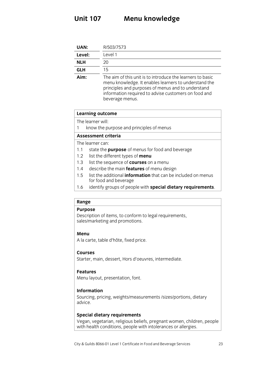| UAN:       | R/503/7573                                                                                                                                                                                                                        |
|------------|-----------------------------------------------------------------------------------------------------------------------------------------------------------------------------------------------------------------------------------|
| Level:     | Level 1                                                                                                                                                                                                                           |
| <b>NLH</b> | 20                                                                                                                                                                                                                                |
| <b>GLH</b> | 15                                                                                                                                                                                                                                |
| Aim:       | The aim of this unit is to introduce the learners to basic<br>menu knowledge. It enables learners to understand the<br>principles and purposes of menus and to understand<br>information required to advise customers on food and |

## **Learning outcome**<br>The learner will:

1 know the purpose and principles of menus

beverage menus. beverage menus.

### Assessment criteria

The learner can:

- 1.1 state the **purpose** of menus for food and beverage
- 1.2 list the different types of **menu**
- 1.3 list the sequence of **courses** on a menu
- 1.4 describe the main **features** of menu design
- 1.5 list the additional **information** that can be included on menus for food and beverage
- $\frac{1}{2}$ identify aroung of neo 1.6 identify groups of people with **special dietary requirements**.

## **Range**

Description of items, to conform to legal requirements.  $\sum_{n=1}^{\infty}$  sales/marketing and promotions. sales/marketing and promotions.

### Menu

**Menu** A la carte, table d'hôte, fixed price.

### **Courses**

Starter, main, dessert, Hors d'oeuvres, intermediate. Starter, main, dessert, Hors d'oeuvres, intermediate.

### **Features**

Menu layout, presentation, font. Menu layout, presentation, font.

### **Information**

Sourcing, pricing, weights/measurements /sizes/portions. dietary  $S_{\rm s}$  advice advice.

**Special dietary requirements**<br>Vegan, vegetarian, religious beliefs, pregnant women, children, people  $\frac{1}{2}$  vectors of  $\frac{1}{2}$  and  $\frac{1}{2}$  are given by  $\frac{1}{2}$  and  $\frac{1}{2}$  are  $\frac{1}{2}$  and  $\frac{1}{2}$  are  $\frac{1}{2}$  and  $\frac{1}{2}$  are  $\frac{1}{2}$  are  $\frac{1}{2}$  and  $\frac{1}{2}$  are  $\frac{1}{2}$  are  $\frac{1}{2}$  are  $\frac{1}{2}$ with health conditions, people with into the conditions, personally  $\sigma$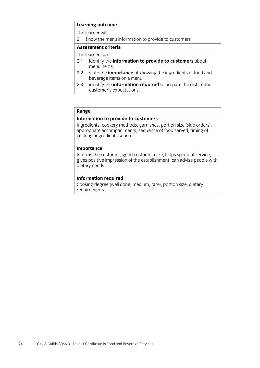## **Learning outcome**<br>The learner will:

2 know the menu information to provide to customers

### Assessment criteria

The learner can:

- 2.1 identify the information to provide to customers about menu items
- $2.2$ state the *importance* of knowing the ingredients of food and beverage items on a menu
- $2.3$ identify the information required to prepare the dish to the customer's expectations. <u>customer's expectations.</u>

## **Range**<br>Information to provide to customers

Ingredients, cookery methods, garnishes, portion size (side orders), appropriate accompaniments, sequence of food served, timing of  $\frac{1}{2}$  cooking ingredients source  $\frac{1}{2}$  for  $\frac{1}{2}$  for  $\frac{1}{2}$  for  $\frac{1}{2}$  for  $\frac{1}{2}$  for  $\frac{1}{2}$  for  $\frac{1}{2}$  for  $\frac{1}{2}$  for  $\frac{1}{2}$  for  $\frac{1}{2}$  for  $\frac{1}{2}$  for  $\frac{1}{2}$  for  $\frac{1}{2}$  for  $\$ cooking, ingredients source.

**Importance**<br>Informs the customer, good customer care, helps speed of service, gives positive impression of the establishment, can advise people with dietary needs. dietary needs.

**Information required**<br>Cooking degree (well done, medium, rare), portion size, dietary requirements. <u>register</u>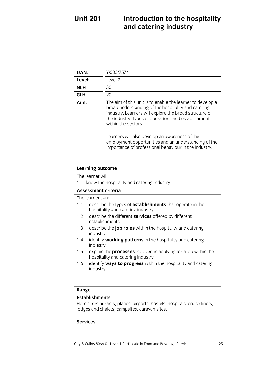### **Unit 201 Unit 2012 The hospitalist 2013 The hospitalist Control of the following to the following to the following to the following to the following to the following to the following to the following to the following to the follow and catering industry**

| UAN:                          | Y/503/7574                                                                                                                                                                                                                                                 |
|-------------------------------|------------------------------------------------------------------------------------------------------------------------------------------------------------------------------------------------------------------------------------------------------------|
| Level:                        | Level 2                                                                                                                                                                                                                                                    |
| <b>NLH</b>                    | 30                                                                                                                                                                                                                                                         |
| GLH                           | 20                                                                                                                                                                                                                                                         |
| Aim:                          | The aim of this unit is to enable the learner to develop a<br>broad understanding of the hospitality and catering<br>industry. Learners will explore the broad structure of<br>the industry, types of operations and establishments<br>within the sectors. |
|                               | Learners will also develop an awareness of the<br>employment opportunities and an understanding of the<br>importance of professional behaviour in the industry.                                                                                            |
| <b>Learning outcome</b>       |                                                                                                                                                                                                                                                            |
| واللدوية والمستوجب والتحاجلات |                                                                                                                                                                                                                                                            |

| Learning outcome    |                                                                                                             |  |
|---------------------|-------------------------------------------------------------------------------------------------------------|--|
| The learner will:   |                                                                                                             |  |
| 1                   | know the hospitality and catering industry                                                                  |  |
| Assessment criteria |                                                                                                             |  |
| The learner can:    |                                                                                                             |  |
| 1.1                 | describe the types of <b>establishments</b> that operate in the<br>hospitality and catering industry        |  |
| 1.2                 | describe the different services offered by different<br>establishments                                      |  |
| 1.3                 | describe the <b>job roles</b> within the hospitality and catering<br>industry                               |  |
| 1.4                 | identify working patterns in the hospitality and catering<br>industry                                       |  |
| 1.5                 | explain the <b>processes</b> involved in applying for a job within the<br>hospitality and catering industry |  |
| 1.6                 | identify ways to progress within the hospitality and catering<br>industry.                                  |  |
|                     |                                                                                                             |  |

### **Establishments**

Hotels, restaurants, planes, airports, hostels, hospitals, cruise liners,  $h$  and  $h$  algebra  $\alpha$  is the state  $h$  planes,  $h$  and  $h$  and  $h$  algebra caravan-sites lodges and chalets, campsites, caravan-sites.

### **Services**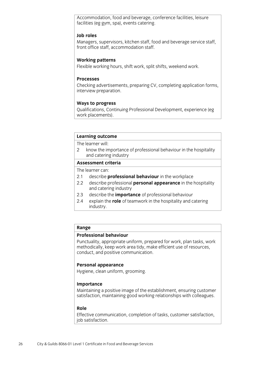Accommodation, food and beverage, conference facilities, leisure facilities (eg gym, spa), events catering.  $\ddotsc$  (eq. span), events catering.

### Job roles

Managers, supervisors, kitchen staff, food and beverage service staff, front office staff, accommodation staff. front office staff, accommodation staff.

### **Working patterns**

Flexible working hours, shift work, split shifts, weekend work.  $\mathbf{C}$  working hours, shift work, shift work, we have shifts work. Similarly, we have shifts  $\mathbf{C}$ 

### **Processes**

Checking advertisements, preparing CV, completing application forms, interview preparation. interview preparation.

### **Ways to progress**

Qualifications, Continuing Professional Development, experience (eg work placements). work place in the control of the control of the control of the control of the control of the control of the co<br>. The control of the control of the control of the control of the control of the control of the control of the

## **Learning outcome**<br>The learner will:

2 know the importance of professional behaviour in the hospitality and catering industry

### Assessment criteria

The learner can:

- 2.1 describe **professional behaviour** in the workplace
- 2.2 describe professional **personal appearance** in the hospitality and catering industry
- $2.3$ describe the *importance* of professional behaviour
- 2.4 explain the **role** of teamwork in the hospitality and catering industry. industry.

## **Range**<br>**Professional behaviour**

Punctuality, appropriate uniform, prepared for work, plan tasks, work methodically, keep work area tidy, make efficient use of resources,  $\frac{1}{2}$  conduct and positive communication conductive communication.

**Personal appearance**<br>Hygiene, clean uniform, grooming.  $\frac{1}{10}$  can uniform, grooming.

**Importance**<br>Maintaining a positive image of the establishment, ensuring customer satisfaction, maintaining good working relationships with colleagues. satisfaction, maintaining good working relationships with colleagues.

### Role

Effective communication, completion of tasks, customer satisfaction, job satisfaction. j<del>ouden and the satisfaction</del>.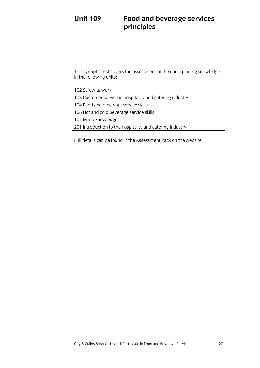### **Unit 109 Unit 109 Food and below the services of the best services**  $\frac{d}{dt}$ **principles**

In the following units:  $\frac{1}{2}$  assessment of the unit of the unit of the unit of the unit of the unit of the unit of the unit of the unit of the unit of the unit of the unit of the unit of the unit of the unit of the u in the following units: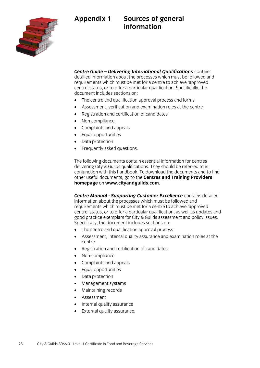



**Centre Guide – Delivering International Qualifications** contains detailed information about the processes which must be followed and requirements which must be met for a centre to achieve 'approved centre' status, or to offer a particular qualification. Specifically, the document includes sections on:

- The centre and qualification approval process and forms
- Assessment, verification and examination roles at the centre<br>• Registration and certification of candidates
- Registration and certification of candidates<br>• Non-compliance
- Non-compliance<br>• Complaints and a
- Complaints and appeals<br>• Equal opportunities
- Equal opportunities
- Data protection<br>• Frequently aske
- Frequently asked questions.

The following documents contain essential information for centres delivering City & Guilds qualifications. They should be referred to in conjunction with this handbook. To download the documents and to find other useful documents, go to the Centres and Training Providers homepage on www.cityandguilds.com. **homepage** on **www.cityandguilds.com**.

**Centre Manual - Supporting Customer Excellence** contains detailed information about the processes which must be followed and requirements which must be met for a centre to achieve 'approved centre' status, or to offer a particular qualification, as well as updates and good practice exemplars for City & Guilds assessment and policy issues. Specifically, the document includes sections on:

- $\overrightarrow{B}$  The centre and qualification approval process
- Assessment, internal quality assurance and examination roles at the
- Registration and certification of candidates
- Non-compliance<br>• Complaints and a
- Complaints and appeals<br>• Fqual opportunities
- Equal opportunities<br>• Data protection
- Data protection<br>• Management sv
- Management systems<br>• Maintaining records
- Maintaining records<br>• Assessment
- Assessment
- Internal quality assurance
- External quality assurance.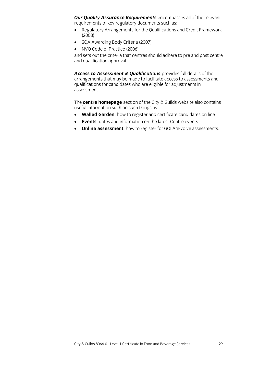**Our Quality Assurance Requirements** encompasses all of the relevant requirements of key regulatory documents such as:

- Regulatory Arrangements for the Qualifications and Credit Framework<br>(2008)
- SQA Awarding Body Criteria (2007)
- 

• NVQ Code of Practice (2006)<br>and sets out the criteria that centres should adhere to pre and post centre and qualification approval. and qualification approval.

Access to Assessment & Qualifications provides full details of the arrangements that may be made to facilitate access to assessments and qualifications for candidates who are eligible for adjustments in assessment.

The **centre homepage** section of the City & Guilds website also contains

- **Walled Garden**: how to register and certificate candidates on line
- **Events**: dates and information on the latest Centre events<br>  **Online assessment**: how to register for GOLA/e-volve ass
- **Online assessment:** how to register for GOLA/e-volve assessments.